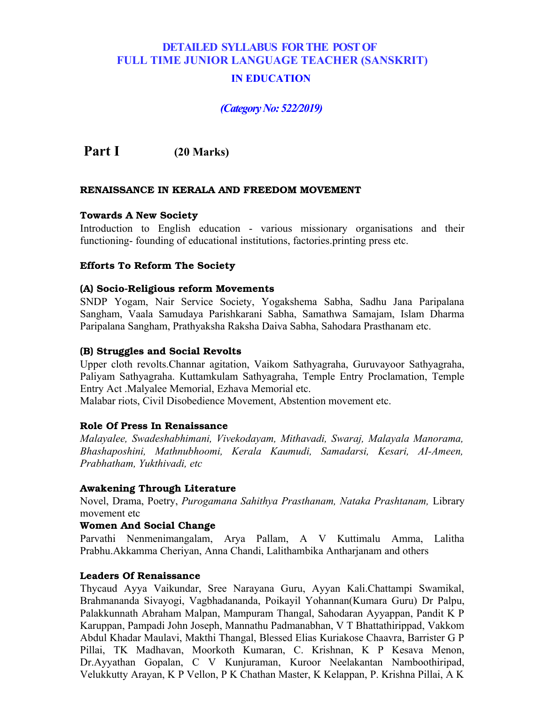# **DETAILED SYLLABUS FOR THE POST OF FULL TIME JUNIOR LANGUAGE TEACHER (SANSKRIT)**

# **IN EDUCATION**

# *(Category No: 522/2019)*

 **Part I (20 Marks)**

### **RENAISSANCE IN KERALA AND FREEDOM MOVEMENT**

#### **Towards A New Society**

Introduction to English education - various missionary organisations and their functioning- founding of educational institutions, factories.printing press etc.

#### **Efforts To Reform The Society**

#### **(A) Socio-Religious reform Movements**

SNDP Yogam, Nair Service Society, Yogakshema Sabha, Sadhu Jana Paripalana Sangham, Vaala Samudaya Parishkarani Sabha, Samathwa Samajam, Islam Dharma Paripalana Sangham, Prathyaksha Raksha Daiva Sabha, Sahodara Prasthanam etc.

#### **(B) Struggles and Social Revolts**

Upper cloth revolts.Channar agitation, Vaikom Sathyagraha, Guruvayoor Sathyagraha, Paliyam Sathyagraha. Kuttamkulam Sathyagraha, Temple Entry Proclamation, Temple Entry Act .Malyalee Memorial, Ezhava Memorial etc.

Malabar riots, Civil Disobedience Movement, Abstention movement etc.

#### **Role Of Press In Renaissance**

*Malayalee, Swadeshabhimani, Vivekodayam, Mithavadi, Swaraj, Malayala Manorama, Bhashaposhini, Mathnubhoomi, Kerala Kaumudi, Samadarsi, Kesari, AI-Ameen, Prabhatham, Yukthivadi, etc*

#### **Awakening Through Literature**

Novel, Drama, Poetry, *Purogamana Sahithya Prasthanam, Nataka Prashtanam,* Library movement etc

#### **Women And Social Change**

Parvathi Nenmenimangalam, Arya Pallam, A V Kuttimalu Amma, Lalitha Prabhu.Akkamma Cheriyan, Anna Chandi, Lalithambika Antharjanam and others

#### **Leaders Of Renaissance**

Thycaud Ayya Vaikundar, Sree Narayana Guru, Ayyan Kali.Chattampi Swamikal, Brahmananda Sivayogi, Vagbhadananda, Poikayil Yohannan(Kumara Guru) Dr Palpu, Palakkunnath Abraham Malpan, Mampuram Thangal, Sahodaran Ayyappan, Pandit K P Karuppan, Pampadi John Joseph, Mannathu Padmanabhan, V T Bhattathirippad, Vakkom Abdul Khadar Maulavi, Makthi Thangal, Blessed Elias Kuriakose Chaavra, Barrister G P Pillai, TK Madhavan, Moorkoth Kumaran, C. Krishnan, K P Kesava Menon, Dr.Ayyathan Gopalan, C V Kunjuraman, Kuroor Neelakantan Namboothiripad, Velukkutty Arayan, K P Vellon, P K Chathan Master, K Kelappan, P. Krishna Pillai, A K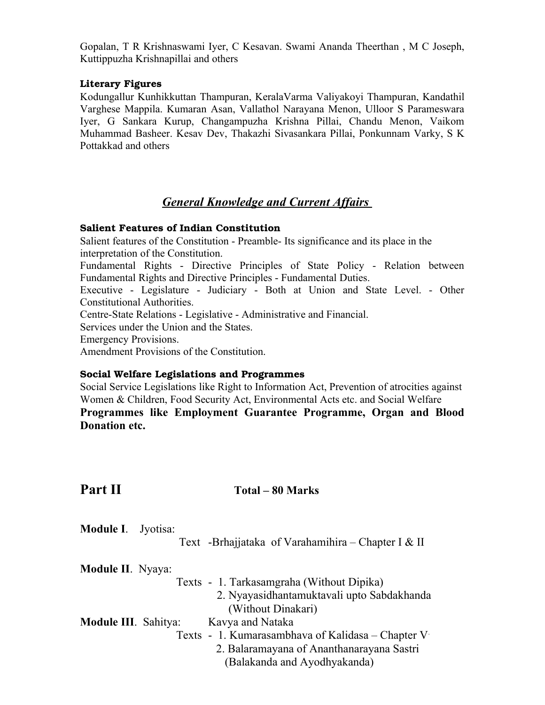Gopalan, T R Krishnaswami Iyer, C Kesavan. Swami Ananda Theerthan , M C Joseph, Kuttippuzha Krishnapillai and others

# **Literary Figures**

Kodungallur Kunhikkuttan Thampuran, KeralaVarma Valiyakoyi Thampuran, Kandathil Varghese Mappila. Kumaran Asan, Vallathol Narayana Menon, Ulloor S Parameswara Iyer, G Sankara Kurup, Changampuzha Krishna Pillai, Chandu Menon, Vaikom Muhammad Basheer. Kesav Dev, Thakazhi Sivasankara Pillai, Ponkunnam Varky, S K Pottakkad and others

# *General Knowledge and Current Affairs*

# **Salient Features of Indian Constitution**

Salient features of the Constitution - Preamble- Its significance and its place in the interpretation of the Constitution.

Fundamental Rights - Directive Principles of State Policy - Relation between Fundamental Rights and Directive Principles - Fundamental Duties.

Executive - Legislature - Judiciary - Both at Union and State Level. - Other Constitutional Authorities.

Centre-State Relations - Legislative - Administrative and Financial.

Services under the Union and the States.

Emergency Provisions.

Amendment Provisions of the Constitution.

### **Social Welfare Legislations and Programmes**

Social Service Legislations like Right to Information Act, Prevention of atrocities against Women & Children, Food Security Act, Environmental Acts etc. and Social Welfare **Programmes like Employment Guarantee Programme, Organ and Blood**

**Donation etc.**

# **Part II** Total – 80 Marks

| <b>Module I.</b> Jyotisa: |  |                                                    |  |
|---------------------------|--|----------------------------------------------------|--|
|                           |  | Text -Brhajjataka of Varahamihira – Chapter I & II |  |

| Module II. Nyaya:           |                                                   |
|-----------------------------|---------------------------------------------------|
|                             | Texts - 1. Tarkasamgraha (Without Dipika)         |
|                             | 2. Nyayasidhantamuktavali upto Sabdakhanda        |
|                             | (Without Dinakari)                                |
| <b>Module III. Sahitya:</b> | Kavya and Nataka                                  |
|                             | Texts - 1. Kumarasambhava of Kalidasa – Chapter V |
|                             | 2. Balaramayana of Ananthanarayana Sastri         |
|                             | (Balakanda and Ayodhyakanda)                      |